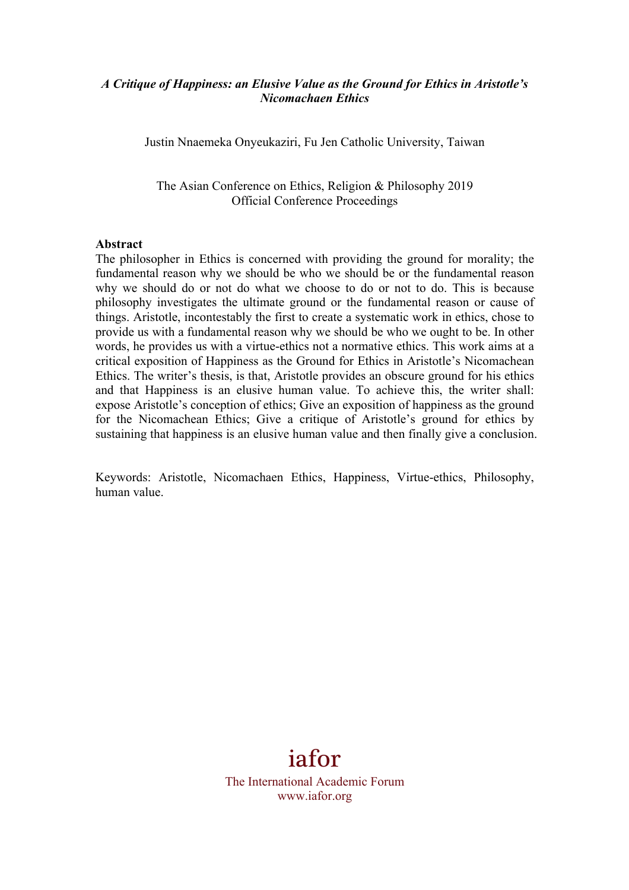### *A Critique of Happiness: an Elusive Value as the Ground for Ethics in Aristotle's Nicomachaen Ethics*

Justin Nnaemeka Onyeukaziri, Fu Jen Catholic University, Taiwan

The Asian Conference on Ethics, Religion & Philosophy 2019 Official Conference Proceedings

#### **Abstract**

The philosopher in Ethics is concerned with providing the ground for morality; the fundamental reason why we should be who we should be or the fundamental reason why we should do or not do what we choose to do or not to do. This is because philosophy investigates the ultimate ground or the fundamental reason or cause of things. Aristotle, incontestably the first to create a systematic work in ethics, chose to provide us with a fundamental reason why we should be who we ought to be. In other words, he provides us with a virtue-ethics not a normative ethics. This work aims at a critical exposition of Happiness as the Ground for Ethics in Aristotle's Nicomachean Ethics. The writer's thesis, is that, Aristotle provides an obscure ground for his ethics and that Happiness is an elusive human value. To achieve this, the writer shall: expose Aristotle's conception of ethics; Give an exposition of happiness as the ground for the Nicomachean Ethics; Give a critique of Aristotle's ground for ethics by sustaining that happiness is an elusive human value and then finally give a conclusion.

Keywords: Aristotle, Nicomachaen Ethics, Happiness, Virtue-ethics, Philosophy, human value.

# iafor

The International Academic Forum www.iafor.org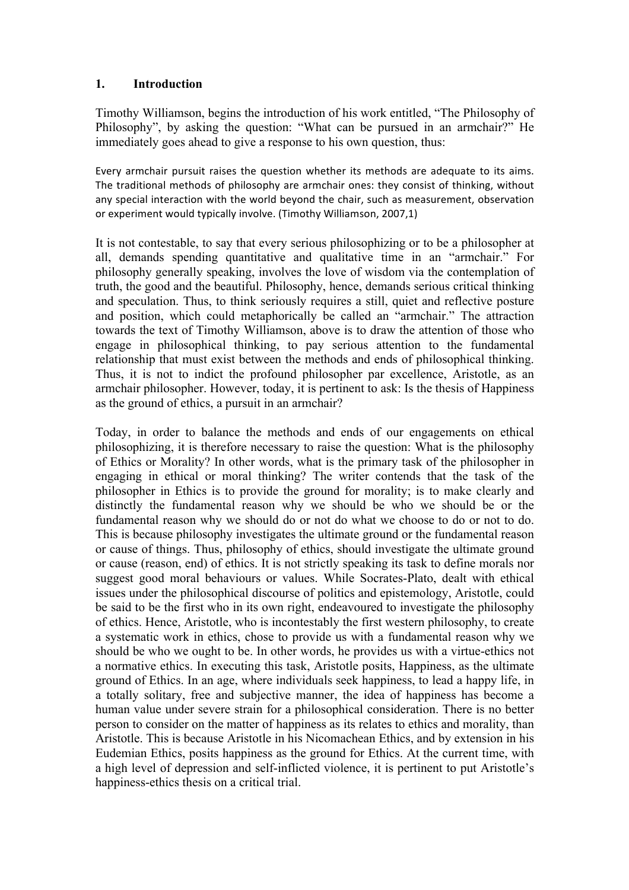# **1. Introduction**

Timothy Williamson, begins the introduction of his work entitled, "The Philosophy of Philosophy", by asking the question: "What can be pursued in an armchair?" He immediately goes ahead to give a response to his own question, thus:

Every armchair pursuit raises the question whether its methods are adequate to its aims. The traditional methods of philosophy are armchair ones: they consist of thinking, without any special interaction with the world beyond the chair, such as measurement, observation or experiment would typically involve. (Timothy Williamson, 2007,1)

It is not contestable, to say that every serious philosophizing or to be a philosopher at all, demands spending quantitative and qualitative time in an "armchair." For philosophy generally speaking, involves the love of wisdom via the contemplation of truth, the good and the beautiful. Philosophy, hence, demands serious critical thinking and speculation. Thus, to think seriously requires a still, quiet and reflective posture and position, which could metaphorically be called an "armchair." The attraction towards the text of Timothy Williamson, above is to draw the attention of those who engage in philosophical thinking, to pay serious attention to the fundamental relationship that must exist between the methods and ends of philosophical thinking. Thus, it is not to indict the profound philosopher par excellence, Aristotle, as an armchair philosopher. However, today, it is pertinent to ask: Is the thesis of Happiness as the ground of ethics, a pursuit in an armchair?

Today, in order to balance the methods and ends of our engagements on ethical philosophizing, it is therefore necessary to raise the question: What is the philosophy of Ethics or Morality? In other words, what is the primary task of the philosopher in engaging in ethical or moral thinking? The writer contends that the task of the philosopher in Ethics is to provide the ground for morality; is to make clearly and distinctly the fundamental reason why we should be who we should be or the fundamental reason why we should do or not do what we choose to do or not to do. This is because philosophy investigates the ultimate ground or the fundamental reason or cause of things. Thus, philosophy of ethics, should investigate the ultimate ground or cause (reason, end) of ethics. It is not strictly speaking its task to define morals nor suggest good moral behaviours or values. While Socrates-Plato, dealt with ethical issues under the philosophical discourse of politics and epistemology, Aristotle, could be said to be the first who in its own right, endeavoured to investigate the philosophy of ethics. Hence, Aristotle, who is incontestably the first western philosophy, to create a systematic work in ethics, chose to provide us with a fundamental reason why we should be who we ought to be. In other words, he provides us with a virtue-ethics not a normative ethics. In executing this task, Aristotle posits, Happiness, as the ultimate ground of Ethics. In an age, where individuals seek happiness, to lead a happy life, in a totally solitary, free and subjective manner, the idea of happiness has become a human value under severe strain for a philosophical consideration. There is no better person to consider on the matter of happiness as its relates to ethics and morality, than Aristotle. This is because Aristotle in his Nicomachean Ethics, and by extension in his Eudemian Ethics, posits happiness as the ground for Ethics. At the current time, with a high level of depression and self-inflicted violence, it is pertinent to put Aristotle's happiness-ethics thesis on a critical trial.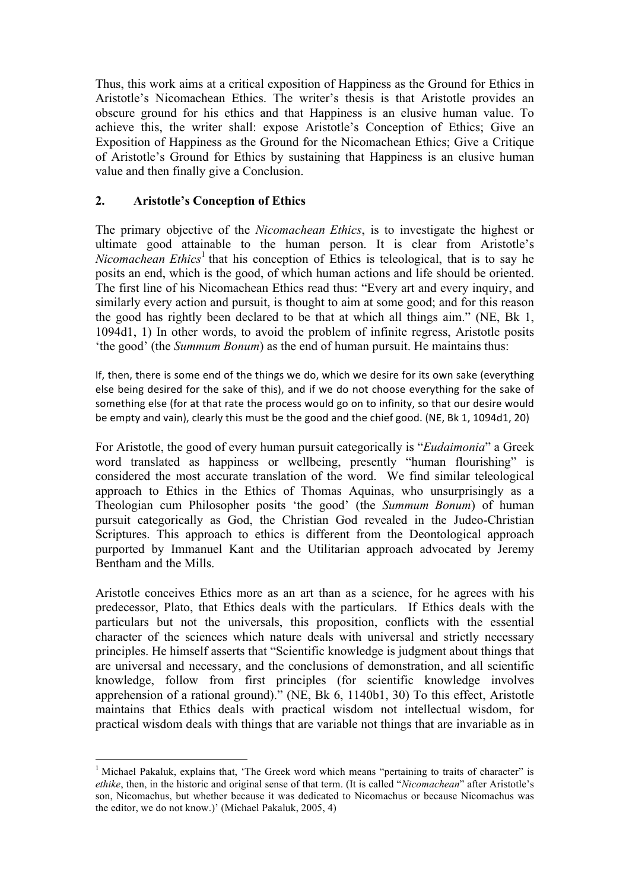Thus, this work aims at a critical exposition of Happiness as the Ground for Ethics in Aristotle's Nicomachean Ethics. The writer's thesis is that Aristotle provides an obscure ground for his ethics and that Happiness is an elusive human value. To achieve this, the writer shall: expose Aristotle's Conception of Ethics; Give an Exposition of Happiness as the Ground for the Nicomachean Ethics; Give a Critique of Aristotle's Ground for Ethics by sustaining that Happiness is an elusive human value and then finally give a Conclusion.

# **2. Aristotle's Conception of Ethics**

<u> 1989 - Johann Stein, fransk politik (d. 1989)</u>

The primary objective of the *Nicomachean Ethics*, is to investigate the highest or ultimate good attainable to the human person. It is clear from Aristotle's *Nicomachean Ethics*<sup>1</sup> that his conception of Ethics is teleological, that is to say he posits an end, which is the good, of which human actions and life should be oriented. The first line of his Nicomachean Ethics read thus: "Every art and every inquiry, and similarly every action and pursuit, is thought to aim at some good; and for this reason the good has rightly been declared to be that at which all things aim." (NE, Bk 1, 1094d1, 1) In other words, to avoid the problem of infinite regress, Aristotle posits 'the good' (the *Summum Bonum*) as the end of human pursuit. He maintains thus:

If, then, there is some end of the things we do, which we desire for its own sake (everything else being desired for the sake of this), and if we do not choose everything for the sake of something else (for at that rate the process would go on to infinity, so that our desire would be empty and vain), clearly this must be the good and the chief good. (NE, Bk 1, 1094d1, 20)

For Aristotle, the good of every human pursuit categorically is "*Eudaimonia*" a Greek word translated as happiness or wellbeing, presently "human flourishing" is considered the most accurate translation of the word. We find similar teleological approach to Ethics in the Ethics of Thomas Aquinas, who unsurprisingly as a Theologian cum Philosopher posits 'the good' (the *Summum Bonum*) of human pursuit categorically as God, the Christian God revealed in the Judeo-Christian Scriptures. This approach to ethics is different from the Deontological approach purported by Immanuel Kant and the Utilitarian approach advocated by Jeremy Bentham and the Mills.

Aristotle conceives Ethics more as an art than as a science, for he agrees with his predecessor, Plato, that Ethics deals with the particulars. If Ethics deals with the particulars but not the universals, this proposition, conflicts with the essential character of the sciences which nature deals with universal and strictly necessary principles. He himself asserts that "Scientific knowledge is judgment about things that are universal and necessary, and the conclusions of demonstration, and all scientific knowledge, follow from first principles (for scientific knowledge involves apprehension of a rational ground)." (NE, Bk 6, 1140b1, 30) To this effect, Aristotle maintains that Ethics deals with practical wisdom not intellectual wisdom, for practical wisdom deals with things that are variable not things that are invariable as in

<sup>&</sup>lt;sup>1</sup> Michael Pakaluk, explains that, 'The Greek word which means "pertaining to traits of character" is *ethike*, then, in the historic and original sense of that term. (It is called "*Nicomachean*" after Aristotle's son, Nicomachus, but whether because it was dedicated to Nicomachus or because Nicomachus was the editor, we do not know.)' (Michael Pakaluk, 2005, 4)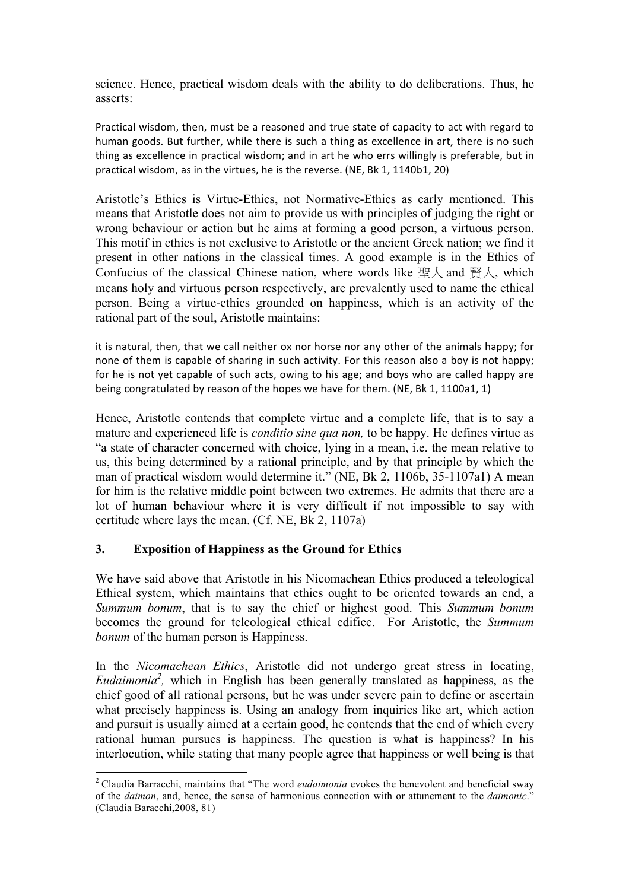science. Hence, practical wisdom deals with the ability to do deliberations. Thus, he asserts:

Practical wisdom, then, must be a reasoned and true state of capacity to act with regard to human goods. But further, while there is such a thing as excellence in art, there is no such thing as excellence in practical wisdom; and in art he who errs willingly is preferable, but in practical wisdom, as in the virtues, he is the reverse. (NE, Bk 1, 1140b1, 20)

Aristotle's Ethics is Virtue-Ethics, not Normative-Ethics as early mentioned. This means that Aristotle does not aim to provide us with principles of judging the right or wrong behaviour or action but he aims at forming a good person, a virtuous person. This motif in ethics is not exclusive to Aristotle or the ancient Greek nation; we find it present in other nations in the classical times. A good example is in the Ethics of Confucius of the classical Chinese nation, where words like 聖人 and 賢人, which means holy and virtuous person respectively, are prevalently used to name the ethical person. Being a virtue-ethics grounded on happiness, which is an activity of the rational part of the soul, Aristotle maintains:

it is natural, then, that we call neither ox nor horse nor any other of the animals happy; for none of them is capable of sharing in such activity. For this reason also a boy is not happy; for he is not yet capable of such acts, owing to his age; and boys who are called happy are being congratulated by reason of the hopes we have for them. (NE, Bk 1, 1100a1, 1)

Hence, Aristotle contends that complete virtue and a complete life, that is to say a mature and experienced life is *conditio sine qua non,* to be happy. He defines virtue as "a state of character concerned with choice, lying in a mean, i.e. the mean relative to us, this being determined by a rational principle, and by that principle by which the man of practical wisdom would determine it." (NE, Bk 2, 1106b, 35-1107a1) A mean for him is the relative middle point between two extremes. He admits that there are a lot of human behaviour where it is very difficult if not impossible to say with certitude where lays the mean. (Cf. NE, Bk 2, 1107a)

# **3. Exposition of Happiness as the Ground for Ethics**

 

We have said above that Aristotle in his Nicomachean Ethics produced a teleological Ethical system, which maintains that ethics ought to be oriented towards an end, a *Summum bonum*, that is to say the chief or highest good. This *Summum bonum* becomes the ground for teleological ethical edifice. For Aristotle, the *Summum bonum* of the human person is Happiness.

In the *Nicomachean Ethics*, Aristotle did not undergo great stress in locating, *Eudaimonia*<sup>2</sup>, which in English has been generally translated as happiness, as the chief good of all rational persons, but he was under severe pain to define or ascertain what precisely happiness is. Using an analogy from inquiries like art, which action and pursuit is usually aimed at a certain good, he contends that the end of which every rational human pursues is happiness. The question is what is happiness? In his interlocution, while stating that many people agree that happiness or well being is that

<sup>2</sup> Claudia Barracchi, maintains that "The word *eudaimonia* evokes the benevolent and beneficial sway of the *daimon*, and, hence, the sense of harmonious connection with or attunement to the *daimonic*." (Claudia Baracchi,2008, 81)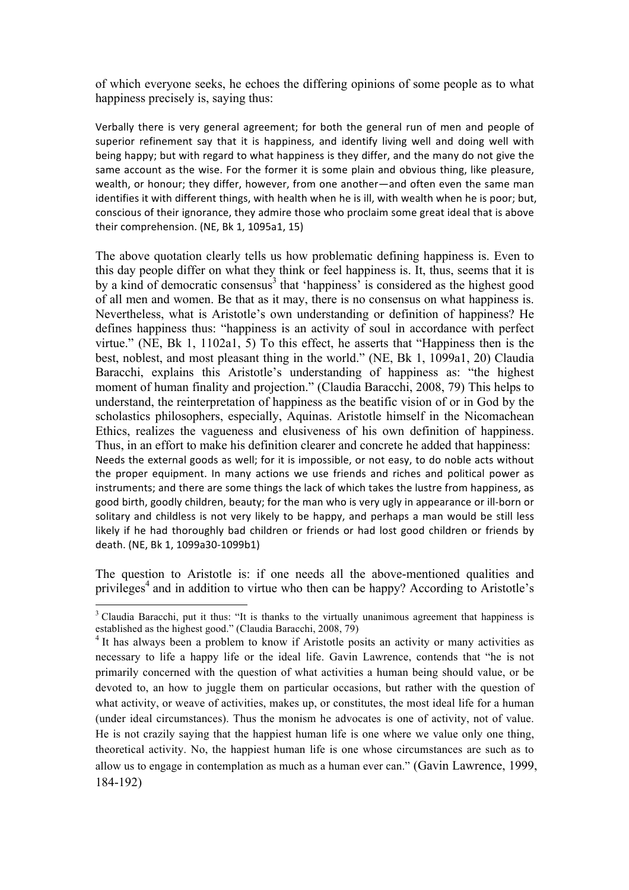of which everyone seeks, he echoes the differing opinions of some people as to what happiness precisely is, saying thus:

Verbally there is very general agreement; for both the general run of men and people of superior refinement say that it is happiness, and identify living well and doing well with being happy; but with regard to what happiness is they differ, and the many do not give the same account as the wise. For the former it is some plain and obvious thing, like pleasure, wealth, or honour; they differ, however, from one another—and often even the same man identifies it with different things, with health when he is ill, with wealth when he is poor; but, conscious of their ignorance, they admire those who proclaim some great ideal that is above their comprehension. (NE, Bk 1, 1095a1, 15)

The above quotation clearly tells us how problematic defining happiness is. Even to this day people differ on what they think or feel happiness is. It, thus, seems that it is by a kind of democratic consensus $3$  that 'happiness' is considered as the highest good of all men and women. Be that as it may, there is no consensus on what happiness is. Nevertheless, what is Aristotle's own understanding or definition of happiness? He defines happiness thus: "happiness is an activity of soul in accordance with perfect virtue." (NE, Bk 1, 1102a1, 5) To this effect, he asserts that "Happiness then is the best, noblest, and most pleasant thing in the world." (NE, Bk 1, 1099a1, 20) Claudia Baracchi, explains this Aristotle's understanding of happiness as: "the highest moment of human finality and projection." (Claudia Baracchi, 2008, 79) This helps to understand, the reinterpretation of happiness as the beatific vision of or in God by the scholastics philosophers, especially, Aquinas. Aristotle himself in the Nicomachean Ethics, realizes the vagueness and elusiveness of his own definition of happiness. Thus, in an effort to make his definition clearer and concrete he added that happiness: Needs the external goods as well; for it is impossible, or not easy, to do noble acts without the proper equipment. In many actions we use friends and riches and political power as instruments; and there are some things the lack of which takes the lustre from happiness, as good birth, goodly children, beauty; for the man who is very ugly in appearance or ill-born or solitary and childless is not very likely to be happy, and perhaps a man would be still less likely if he had thoroughly bad children or friends or had lost good children or friends by death. (NE, Bk 1, 1099a30-1099b1)

The question to Aristotle is: if one needs all the above-mentioned qualities and privileges<sup>4</sup> and in addition to virtue who then can be happy? According to Aristotle's

 

<sup>&</sup>lt;sup>3</sup> Claudia Baracchi, put it thus: "It is thanks to the virtually unanimous agreement that happiness is established as the highest good." (Claudia Baracchi, 2008, 79)

<sup>&</sup>lt;sup>4</sup> It has always been a problem to know if Aristotle posits an activity or many activities as necessary to life a happy life or the ideal life. Gavin Lawrence, contends that "he is not primarily concerned with the question of what activities a human being should value, or be devoted to, an how to juggle them on particular occasions, but rather with the question of what activity, or weave of activities, makes up, or constitutes, the most ideal life for a human (under ideal circumstances). Thus the monism he advocates is one of activity, not of value. He is not crazily saying that the happiest human life is one where we value only one thing, theoretical activity. No, the happiest human life is one whose circumstances are such as to allow us to engage in contemplation as much as a human ever can." (Gavin Lawrence, 1999, 184-192)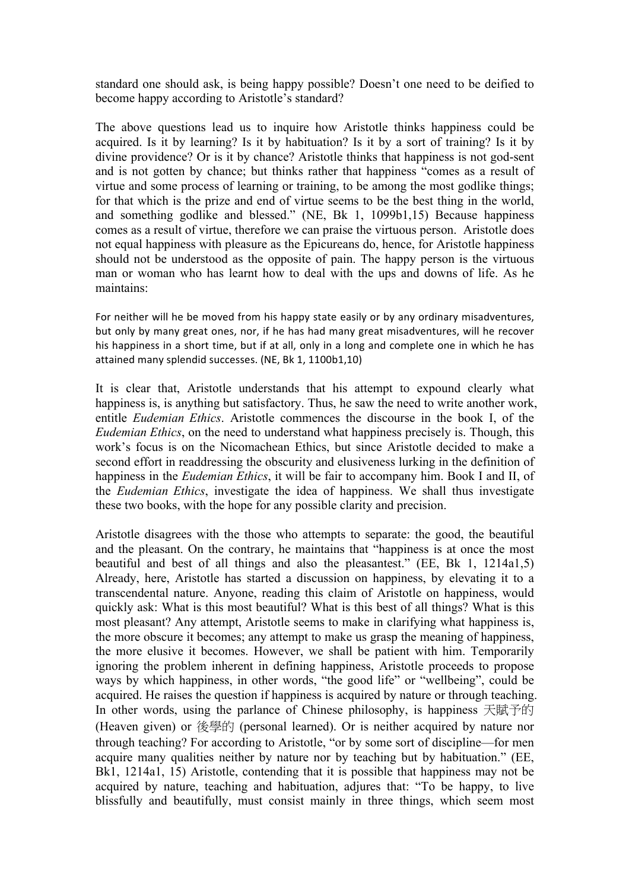standard one should ask, is being happy possible? Doesn't one need to be deified to become happy according to Aristotle's standard?

The above questions lead us to inquire how Aristotle thinks happiness could be acquired. Is it by learning? Is it by habituation? Is it by a sort of training? Is it by divine providence? Or is it by chance? Aristotle thinks that happiness is not god-sent and is not gotten by chance; but thinks rather that happiness "comes as a result of virtue and some process of learning or training, to be among the most godlike things; for that which is the prize and end of virtue seems to be the best thing in the world, and something godlike and blessed." (NE, Bk 1, 1099b1,15) Because happiness comes as a result of virtue, therefore we can praise the virtuous person. Aristotle does not equal happiness with pleasure as the Epicureans do, hence, for Aristotle happiness should not be understood as the opposite of pain. The happy person is the virtuous man or woman who has learnt how to deal with the ups and downs of life. As he maintains:

For neither will he be moved from his happy state easily or by any ordinary misadventures, but only by many great ones, nor, if he has had many great misadventures, will he recover his happiness in a short time, but if at all, only in a long and complete one in which he has attained many splendid successes. (NE, Bk 1, 1100b1,10)

It is clear that, Aristotle understands that his attempt to expound clearly what happiness is, is anything but satisfactory. Thus, he saw the need to write another work, entitle *Eudemian Ethics*. Aristotle commences the discourse in the book I, of the *Eudemian Ethics*, on the need to understand what happiness precisely is. Though, this work's focus is on the Nicomachean Ethics, but since Aristotle decided to make a second effort in readdressing the obscurity and elusiveness lurking in the definition of happiness in the *Eudemian Ethics*, it will be fair to accompany him. Book I and II, of the *Eudemian Ethics*, investigate the idea of happiness. We shall thus investigate these two books, with the hope for any possible clarity and precision.

Aristotle disagrees with the those who attempts to separate: the good, the beautiful and the pleasant. On the contrary, he maintains that "happiness is at once the most beautiful and best of all things and also the pleasantest." (EE, Bk 1, 1214a1,5) Already, here, Aristotle has started a discussion on happiness, by elevating it to a transcendental nature. Anyone, reading this claim of Aristotle on happiness, would quickly ask: What is this most beautiful? What is this best of all things? What is this most pleasant? Any attempt, Aristotle seems to make in clarifying what happiness is, the more obscure it becomes; any attempt to make us grasp the meaning of happiness, the more elusive it becomes. However, we shall be patient with him. Temporarily ignoring the problem inherent in defining happiness, Aristotle proceeds to propose ways by which happiness, in other words, "the good life" or "wellbeing", could be acquired. He raises the question if happiness is acquired by nature or through teaching. In other words, using the parlance of Chinese philosophy, is happiness 天賦予的 (Heaven given) or 後學的 (personal learned). Or is neither acquired by nature nor through teaching? For according to Aristotle, "or by some sort of discipline—for men acquire many qualities neither by nature nor by teaching but by habituation." (EE, Bk1, 1214a1, 15) Aristotle, contending that it is possible that happiness may not be acquired by nature, teaching and habituation, adjures that: "To be happy, to live blissfully and beautifully, must consist mainly in three things, which seem most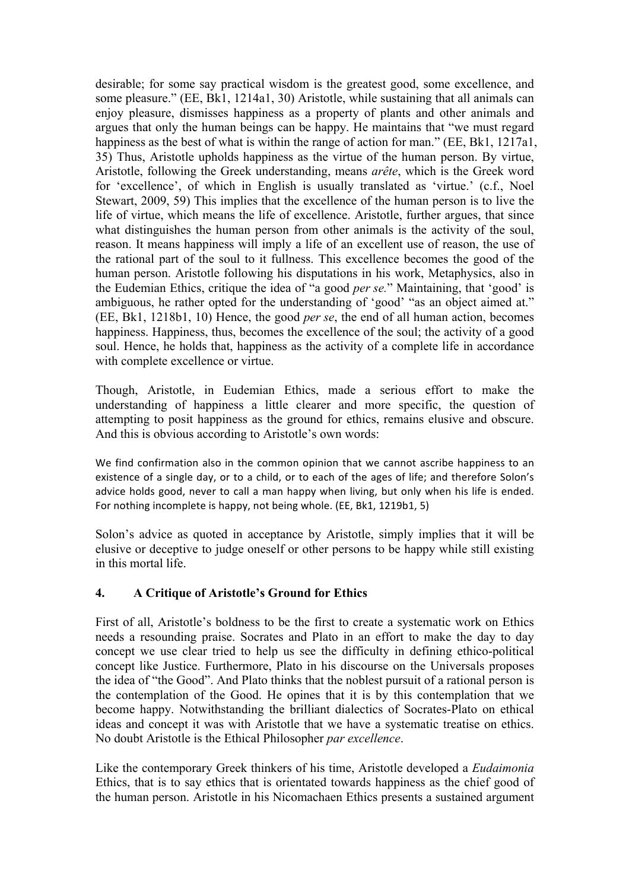desirable; for some say practical wisdom is the greatest good, some excellence, and some pleasure." (EE, Bk1, 1214a1, 30) Aristotle, while sustaining that all animals can enjoy pleasure, dismisses happiness as a property of plants and other animals and argues that only the human beings can be happy. He maintains that "we must regard happiness as the best of what is within the range of action for man." (EE, Bk1, 1217a1, 35) Thus, Aristotle upholds happiness as the virtue of the human person. By virtue, Aristotle, following the Greek understanding, means *arête*, which is the Greek word for 'excellence', of which in English is usually translated as 'virtue.' (c.f., Noel Stewart, 2009, 59) This implies that the excellence of the human person is to live the life of virtue, which means the life of excellence. Aristotle, further argues, that since what distinguishes the human person from other animals is the activity of the soul, reason. It means happiness will imply a life of an excellent use of reason, the use of the rational part of the soul to it fullness. This excellence becomes the good of the human person. Aristotle following his disputations in his work, Metaphysics, also in the Eudemian Ethics, critique the idea of "a good *per se.*" Maintaining, that 'good' is ambiguous, he rather opted for the understanding of 'good' "as an object aimed at." (EE, Bk1, 1218b1, 10) Hence, the good *per se*, the end of all human action, becomes happiness. Happiness, thus, becomes the excellence of the soul; the activity of a good soul. Hence, he holds that, happiness as the activity of a complete life in accordance with complete excellence or virtue.

Though, Aristotle, in Eudemian Ethics, made a serious effort to make the understanding of happiness a little clearer and more specific, the question of attempting to posit happiness as the ground for ethics, remains elusive and obscure. And this is obvious according to Aristotle's own words:

We find confirmation also in the common opinion that we cannot ascribe happiness to an existence of a single day, or to a child, or to each of the ages of life; and therefore Solon's advice holds good, never to call a man happy when living, but only when his life is ended. For nothing incomplete is happy, not being whole. (EE, Bk1, 1219b1, 5)

Solon's advice as quoted in acceptance by Aristotle, simply implies that it will be elusive or deceptive to judge oneself or other persons to be happy while still existing in this mortal life.

# **4. A Critique of Aristotle's Ground for Ethics**

First of all, Aristotle's boldness to be the first to create a systematic work on Ethics needs a resounding praise. Socrates and Plato in an effort to make the day to day concept we use clear tried to help us see the difficulty in defining ethico-political concept like Justice. Furthermore, Plato in his discourse on the Universals proposes the idea of "the Good". And Plato thinks that the noblest pursuit of a rational person is the contemplation of the Good. He opines that it is by this contemplation that we become happy. Notwithstanding the brilliant dialectics of Socrates-Plato on ethical ideas and concept it was with Aristotle that we have a systematic treatise on ethics. No doubt Aristotle is the Ethical Philosopher *par excellence*.

Like the contemporary Greek thinkers of his time, Aristotle developed a *Eudaimonia* Ethics, that is to say ethics that is orientated towards happiness as the chief good of the human person. Aristotle in his Nicomachaen Ethics presents a sustained argument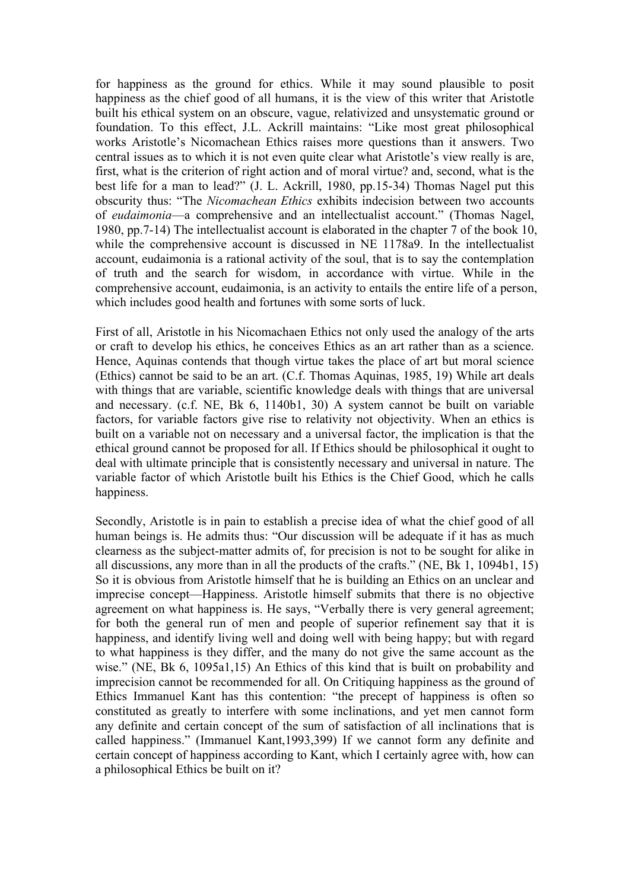for happiness as the ground for ethics. While it may sound plausible to posit happiness as the chief good of all humans, it is the view of this writer that Aristotle built his ethical system on an obscure, vague, relativized and unsystematic ground or foundation. To this effect, J.L. Ackrill maintains: "Like most great philosophical works Aristotle's Nicomachean Ethics raises more questions than it answers. Two central issues as to which it is not even quite clear what Aristotle's view really is are, first, what is the criterion of right action and of moral virtue? and, second, what is the best life for a man to lead?" (J. L. Ackrill, 1980, pp.15-34) Thomas Nagel put this obscurity thus: "The *Nicomachean Ethics* exhibits indecision between two accounts of *eudaimonia*—a comprehensive and an intellectualist account." (Thomas Nagel, 1980, pp.7-14) The intellectualist account is elaborated in the chapter 7 of the book 10, while the comprehensive account is discussed in NE 1178a9. In the intellectualist account, eudaimonia is a rational activity of the soul, that is to say the contemplation of truth and the search for wisdom, in accordance with virtue. While in the comprehensive account, eudaimonia, is an activity to entails the entire life of a person, which includes good health and fortunes with some sorts of luck.

First of all, Aristotle in his Nicomachaen Ethics not only used the analogy of the arts or craft to develop his ethics, he conceives Ethics as an art rather than as a science. Hence, Aquinas contends that though virtue takes the place of art but moral science (Ethics) cannot be said to be an art. (C.f. Thomas Aquinas, 1985, 19) While art deals with things that are variable, scientific knowledge deals with things that are universal and necessary. (c.f. NE, Bk 6, 1140b1, 30) A system cannot be built on variable factors, for variable factors give rise to relativity not objectivity. When an ethics is built on a variable not on necessary and a universal factor, the implication is that the ethical ground cannot be proposed for all. If Ethics should be philosophical it ought to deal with ultimate principle that is consistently necessary and universal in nature. The variable factor of which Aristotle built his Ethics is the Chief Good, which he calls happiness.

Secondly, Aristotle is in pain to establish a precise idea of what the chief good of all human beings is. He admits thus: "Our discussion will be adequate if it has as much clearness as the subject-matter admits of, for precision is not to be sought for alike in all discussions, any more than in all the products of the crafts." (NE, Bk 1, 1094b1, 15) So it is obvious from Aristotle himself that he is building an Ethics on an unclear and imprecise concept—Happiness. Aristotle himself submits that there is no objective agreement on what happiness is. He says, "Verbally there is very general agreement; for both the general run of men and people of superior refinement say that it is happiness, and identify living well and doing well with being happy; but with regard to what happiness is they differ, and the many do not give the same account as the wise." (NE, Bk 6, 1095a1,15) An Ethics of this kind that is built on probability and imprecision cannot be recommended for all. On Critiquing happiness as the ground of Ethics Immanuel Kant has this contention: "the precept of happiness is often so constituted as greatly to interfere with some inclinations, and yet men cannot form any definite and certain concept of the sum of satisfaction of all inclinations that is called happiness." (Immanuel Kant,1993,399) If we cannot form any definite and certain concept of happiness according to Kant, which I certainly agree with, how can a philosophical Ethics be built on it?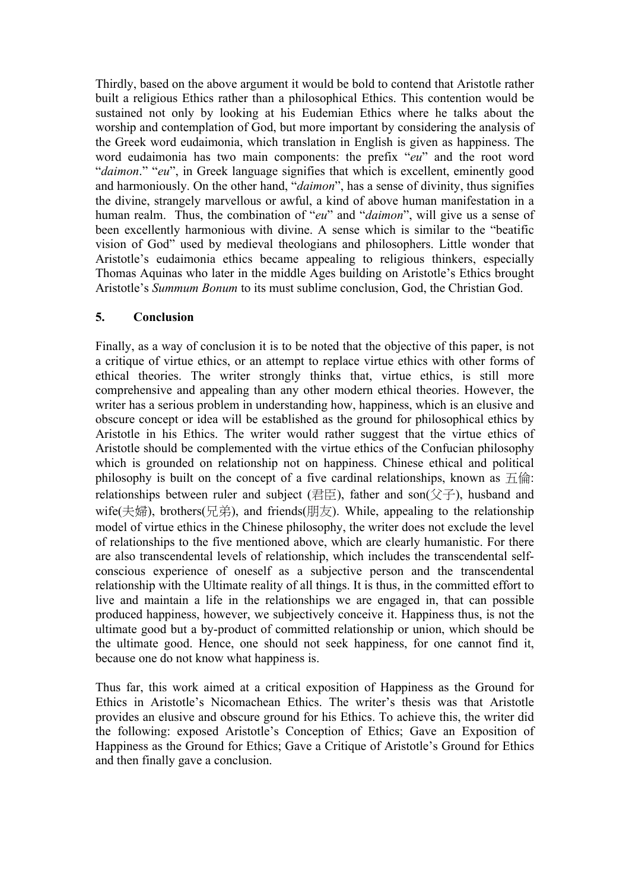Thirdly, based on the above argument it would be bold to contend that Aristotle rather built a religious Ethics rather than a philosophical Ethics. This contention would be sustained not only by looking at his Eudemian Ethics where he talks about the worship and contemplation of God, but more important by considering the analysis of the Greek word eudaimonia, which translation in English is given as happiness. The word eudaimonia has two main components: the prefix "*eu*" and the root word "*daimon*." "*eu*", in Greek language signifies that which is excellent, eminently good and harmoniously. On the other hand, "*daimon*", has a sense of divinity, thus signifies the divine, strangely marvellous or awful, a kind of above human manifestation in a human realm. Thus, the combination of "*eu*" and "*daimon*", will give us a sense of been excellently harmonious with divine. A sense which is similar to the "beatific vision of God" used by medieval theologians and philosophers. Little wonder that Aristotle's eudaimonia ethics became appealing to religious thinkers, especially Thomas Aquinas who later in the middle Ages building on Aristotle's Ethics brought Aristotle's *Summum Bonum* to its must sublime conclusion, God, the Christian God.

# **5. Conclusion**

Finally, as a way of conclusion it is to be noted that the objective of this paper, is not a critique of virtue ethics, or an attempt to replace virtue ethics with other forms of ethical theories. The writer strongly thinks that, virtue ethics, is still more comprehensive and appealing than any other modern ethical theories. However, the writer has a serious problem in understanding how, happiness, which is an elusive and obscure concept or idea will be established as the ground for philosophical ethics by Aristotle in his Ethics. The writer would rather suggest that the virtue ethics of Aristotle should be complemented with the virtue ethics of the Confucian philosophy which is grounded on relationship not on happiness. Chinese ethical and political philosophy is built on the concept of a five cardinal relationships, known as  $\pm \hat{m}$ : relationships between ruler and subject (君臣), father and son( $\Diamond \neq$ ), husband and wife(夫婦), brothers(兄弟), and friends(朋友). While, appealing to the relationship model of virtue ethics in the Chinese philosophy, the writer does not exclude the level of relationships to the five mentioned above, which are clearly humanistic. For there are also transcendental levels of relationship, which includes the transcendental selfconscious experience of oneself as a subjective person and the transcendental relationship with the Ultimate reality of all things. It is thus, in the committed effort to live and maintain a life in the relationships we are engaged in, that can possible produced happiness, however, we subjectively conceive it. Happiness thus, is not the ultimate good but a by-product of committed relationship or union, which should be the ultimate good. Hence, one should not seek happiness, for one cannot find it, because one do not know what happiness is.

Thus far, this work aimed at a critical exposition of Happiness as the Ground for Ethics in Aristotle's Nicomachean Ethics. The writer's thesis was that Aristotle provides an elusive and obscure ground for his Ethics. To achieve this, the writer did the following: exposed Aristotle's Conception of Ethics; Gave an Exposition of Happiness as the Ground for Ethics; Gave a Critique of Aristotle's Ground for Ethics and then finally gave a conclusion.